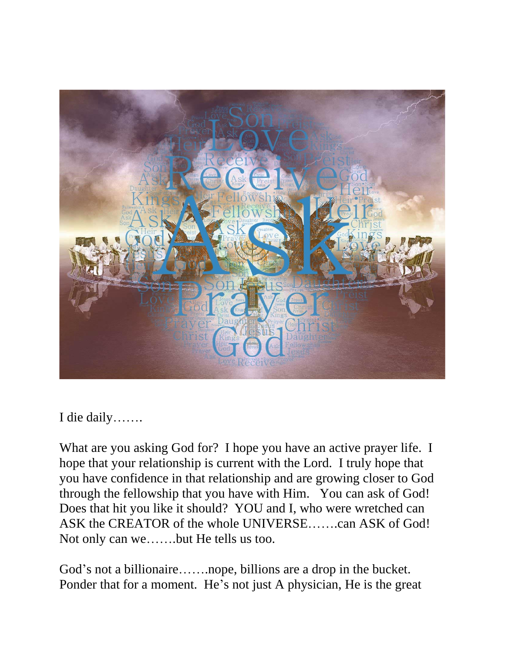

I die daily…….

What are you asking God for? I hope you have an active prayer life. I hope that your relationship is current with the Lord. I truly hope that you have confidence in that relationship and are growing closer to God through the fellowship that you have with Him. You can ask of God! Does that hit you like it should? YOU and I, who were wretched can ASK the CREATOR of the whole UNIVERSE…….can ASK of God! Not only can we…….but He tells us too.

God's not a billionaire…….nope, billions are a drop in the bucket. Ponder that for a moment. He's not just A physician, He is the great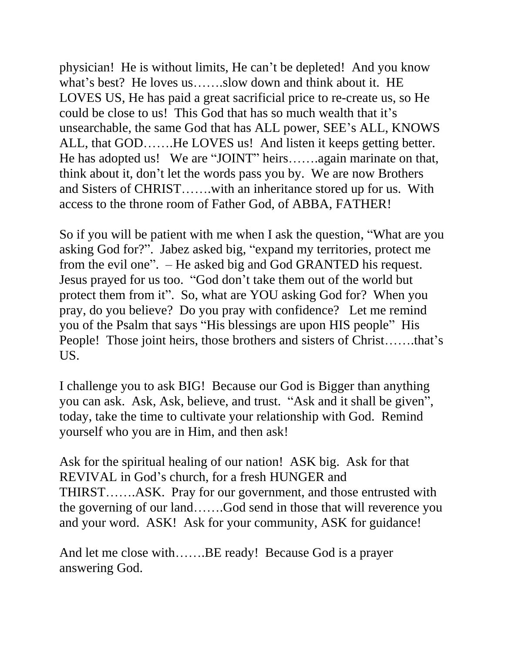physician! He is without limits, He can't be depleted! And you know what's best? He loves us…….slow down and think about it. HE LOVES US, He has paid a great sacrificial price to re-create us, so He could be close to us! This God that has so much wealth that it's unsearchable, the same God that has ALL power, SEE's ALL, KNOWS ALL, that GOD…….He LOVES us! And listen it keeps getting better. He has adopted us! We are "JOINT" heirs…….again marinate on that, think about it, don't let the words pass you by. We are now Brothers and Sisters of CHRIST…….with an inheritance stored up for us. With access to the throne room of Father God, of ABBA, FATHER!

So if you will be patient with me when I ask the question, "What are you asking God for?". Jabez asked big, "expand my territories, protect me from the evil one". – He asked big and God GRANTED his request. Jesus prayed for us too. "God don't take them out of the world but protect them from it". So, what are YOU asking God for? When you pray, do you believe? Do you pray with confidence? Let me remind you of the Psalm that says "His blessings are upon HIS people" His People! Those joint heirs, those brothers and sisters of Christ…….that's US.

I challenge you to ask BIG! Because our God is Bigger than anything you can ask. Ask, Ask, believe, and trust. "Ask and it shall be given", today, take the time to cultivate your relationship with God. Remind yourself who you are in Him, and then ask!

Ask for the spiritual healing of our nation! ASK big. Ask for that REVIVAL in God's church, for a fresh HUNGER and THIRST…….ASK. Pray for our government, and those entrusted with the governing of our land…….God send in those that will reverence you and your word. ASK! Ask for your community, ASK for guidance!

And let me close with…….BE ready! Because God is a prayer answering God.